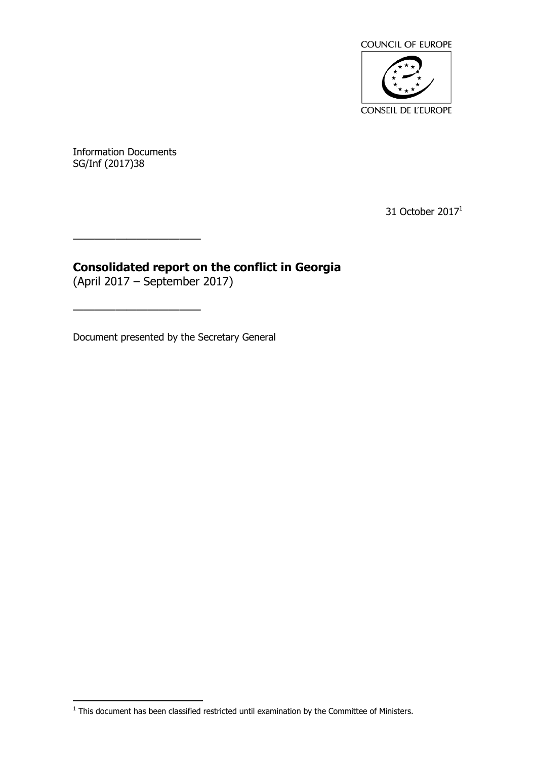

Information Documents SG/Inf (2017)38

31 October 2017<sup>1</sup>

# **Consolidated report on the conflict in Georgia**

(April 2017 – September 2017)

————————————————————

————————————————————

Document presented by the Secretary General

 1 This document has been classified restricted until examination by the Committee of Ministers.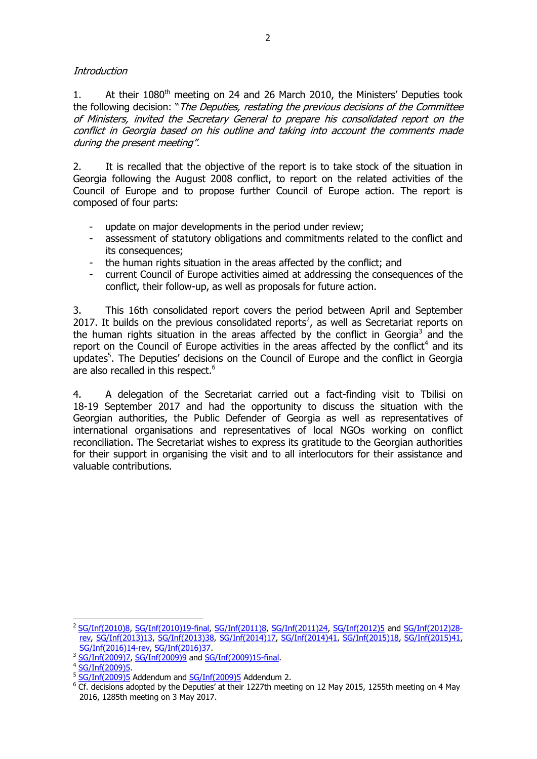Introduction

1. At their 1080<sup>th</sup> meeting on 24 and 26 March 2010, the Ministers' Deputies took the following decision: "The Deputies, restating the previous decisions of the Committee of Ministers, invited the Secretary General to prepare his consolidated report on the conflict in Georgia based on his outline and taking into account the comments made during the present meeting".

2. It is recalled that the objective of the report is to take stock of the situation in Georgia following the August 2008 conflict, to report on the related activities of the Council of Europe and to propose further Council of Europe action. The report is composed of four parts:

- update on major developments in the period under review;
- assessment of statutory obligations and commitments related to the conflict and its consequences;
- the human rights situation in the areas affected by the conflict; and
- current Council of Europe activities aimed at addressing the consequences of the conflict, their follow-up, as well as proposals for future action.

3. This 16th consolidated report covers the period between April and September 2017. It builds on the previous consolidated reports<sup>2</sup>, as well as Secretariat reports on the human rights situation in the areas affected by the conflict in Georgia<sup>3</sup> and the report on the Council of Europe activities in the areas affected by the conflict<sup>4</sup> and its updates<sup>5</sup>. The Deputies' decisions on the Council of Europe and the conflict in Georgia are also recalled in this respect.<sup>6</sup>

4. A delegation of the Secretariat carried out a fact-finding visit to Tbilisi on 18-19 September 2017 and had the opportunity to discuss the situation with the Georgian authorities, the Public Defender of Georgia as well as representatives of international organisations and representatives of local NGOs working on conflict reconciliation. The Secretariat wishes to express its gratitude to the Georgian authorities for their support in organising the visit and to all interlocutors for their assistance and valuable contributions.

 $\overline{a}$ 

<sup>2</sup> [SG/Inf\(2010\)8,](https://search.coe.int/cm/Pages/result_details.aspx?Reference=SG/Inf(2010)8) [SG/Inf\(2010\)19-final,](https://search.coe.int/cm/Pages/result_details.aspx?Reference=SG/Inf(2010)19-final) [SG/Inf\(2011\)8,](https://search.coe.int/cm/Pages/result_details.aspx?Reference=SG/Inf(2011)8) [SG/Inf\(2011\)24,](https://search.coe.int/cm/Pages/result_details.aspx?Reference=SG/Inf(2011)24) [SG/Inf\(2012\)5](https://search.coe.int/cm/Pages/result_details.aspx?Reference=SG/Inf(2012)5) and [SG/Inf\(2012\)28](https://search.coe.int/cm/Pages/result_details.aspx?Reference=SG/Inf(2012)28-rev) [rev,](https://search.coe.int/cm/Pages/result_details.aspx?Reference=SG/Inf(2012)28-rev) [SG/Inf\(2013\)13,](https://search.coe.int/cm/Pages/result_details.aspx?Reference=SG/Inf(2013)13) [SG/Inf\(2013\)38,](https://search.coe.int/cm/Pages/result_details.aspx?Reference=SG/Inf(2013)38) [SG/Inf\(2014\)17,](https://search.coe.int/cm/Pages/result_details.aspx?Reference=SG/Inf(2014)17) [SG/Inf\(2014\)41,](https://search.coe.int/cm/Pages/result_details.aspx?Reference=SG/Inf(2014)41) [SG/Inf\(2015\)18,](https://search.coe.int/cm/Pages/result_details.aspx?Reference=SG/Inf(2015)18) [SG/Inf\(2015\)41,](https://search.coe.int/cm/Pages/result_details.aspx?Reference=SG/Inf(2015)41)

[SG/Inf\(2016\)14-rev,](https://search.coe.int/cm/Pages/result_details.aspx?Reference=SG/Inf(2016)14-rev) [SG/Inf\(2016\)37.](https://search.coe.int/cm/Pages/result_details.aspx?ObjectId=09000016806b7e8e) 3 [SG/Inf\(2009\)7,](https://search.coe.int/cm/Pages/result_details.aspx?Reference=SG/Inf(2009)7) [SG/Inf\(2009\)9](https://search.coe.int/cm/Pages/result_details.aspx?Reference=SG/Inf(2009)9) and [SG/Inf\(2009\)15-final.](https://search.coe.int/cm/Pages/result_details.aspx?Reference=SG/Inf(2009)15-final)

<sup>4</sup> [SG/Inf\(2009\)5.](https://search.coe.int/cm/Pages/result_details.aspx?Reference=SG/Inf(2009)5)

<sup>&</sup>lt;sup>5</sup> [SG/Inf\(2009\)5](https://search.coe.int/cm/Pages/result_details.aspx?Reference=SG/Inf(2009)5) Addendum and [SG/Inf\(2009\)5](https://search.coe.int/cm/Pages/result_details.aspx?Reference=SG/Inf(2009)5) Addendum 2.

 $6$  Cf. decisions adopted by the Deputies' at their 1227th meeting on 12 May 2015, 1255th meeting on 4 May 2016, 1285th meeting on 3 May 2017.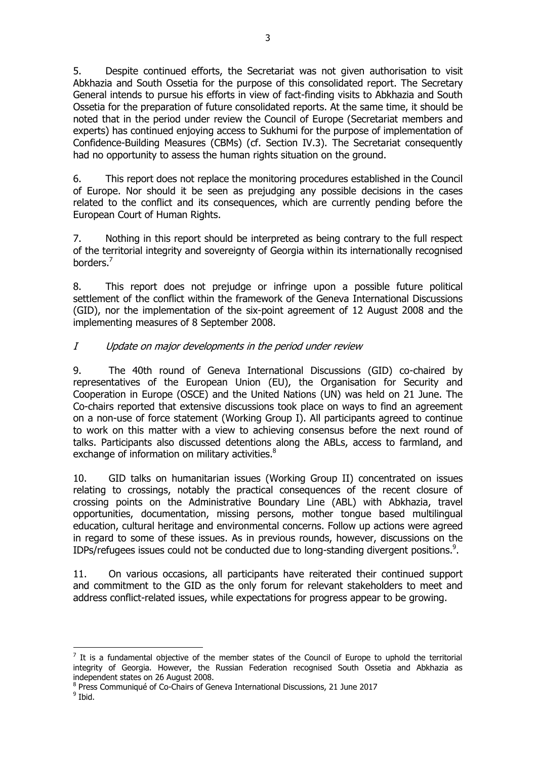5. Despite continued efforts, the Secretariat was not given authorisation to visit Abkhazia and South Ossetia for the purpose of this consolidated report. The Secretary General intends to pursue his efforts in view of fact-finding visits to Abkhazia and South Ossetia for the preparation of future consolidated reports. At the same time, it should be noted that in the period under review the Council of Europe (Secretariat members and experts) has continued enjoying access to Sukhumi for the purpose of implementation of Confidence-Building Measures (CBMs) (cf. Section IV.3). The Secretariat consequently had no opportunity to assess the human rights situation on the ground.

6. This report does not replace the monitoring procedures established in the Council of Europe. Nor should it be seen as prejudging any possible decisions in the cases related to the conflict and its consequences, which are currently pending before the European Court of Human Rights.

7. Nothing in this report should be interpreted as being contrary to the full respect of the territorial integrity and sovereignty of Georgia within its internationally recognised borders.<sup>7</sup>

8. This report does not prejudge or infringe upon a possible future political settlement of the conflict within the framework of the Geneva International Discussions (GID), nor the implementation of the six-point agreement of 12 August 2008 and the implementing measures of 8 September 2008.

# I Update on major developments in the period under review

9. The 40th round of Geneva International Discussions (GID) co-chaired by representatives of the European Union (EU), the Organisation for Security and Cooperation in Europe (OSCE) and the United Nations (UN) was held on 21 June. The Co-chairs reported that extensive discussions took place on ways to find an agreement on a non-use of force statement (Working Group I). All participants agreed to continue to work on this matter with a view to achieving consensus before the next round of talks. Participants also discussed detentions along the ABLs, access to farmland, and exchange of information on military activities.<sup>8</sup>

10. GID talks on humanitarian issues (Working Group II) concentrated on issues relating to crossings, notably the practical consequences of the recent closure of crossing points on the Administrative Boundary Line (ABL) with Abkhazia, travel opportunities, documentation, missing persons, mother tongue based multilingual education, cultural heritage and environmental concerns. Follow up actions were agreed in regard to some of these issues. As in previous rounds, however, discussions on the IDPs/refugees issues could not be conducted due to long-standing divergent positions.<sup>9</sup>.

11. On various occasions, all participants have reiterated their continued support and commitment to the GID as the only forum for relevant stakeholders to meet and address conflict-related issues, while expectations for progress appear to be growing.

 $\overline{a}$  $<sup>7</sup>$  It is a fundamental objective of the member states of the Council of Europe to uphold the territorial</sup> integrity of Georgia. However, the Russian Federation recognised South Ossetia and Abkhazia as independent states on 26 August 2008.

<sup>8</sup> Press Communiqué of Co-Chairs of Geneva International Discussions, 21 June 2017

<sup>&</sup>lt;sup>9</sup> Ibid.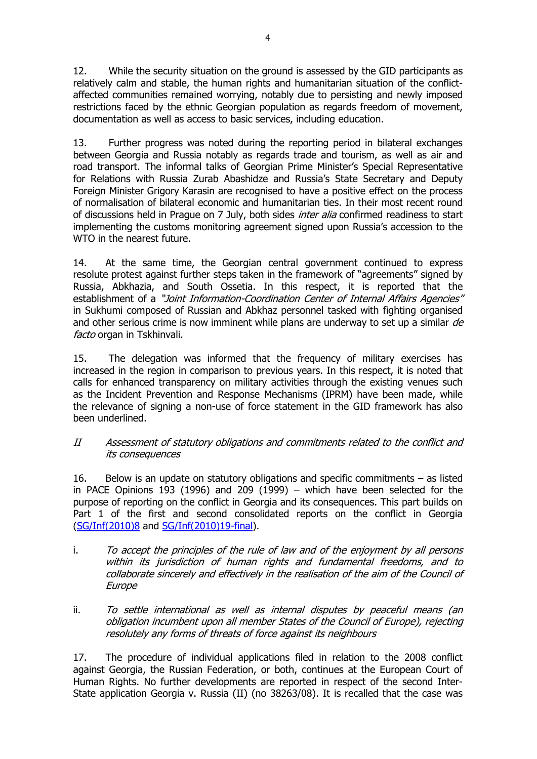12. While the security situation on the ground is assessed by the GID participants as relatively calm and stable, the human rights and humanitarian situation of the conflictaffected communities remained worrying, notably due to persisting and newly imposed restrictions faced by the ethnic Georgian population as regards freedom of movement, documentation as well as access to basic services, including education.

13. Further progress was noted during the reporting period in bilateral exchanges between Georgia and Russia notably as regards trade and tourism, as well as air and road transport. The informal talks of Georgian Prime Minister's Special Representative for Relations with Russia Zurab Abashidze and Russia's State Secretary and Deputy Foreign Minister Grigory Karasin are recognised to have a positive effect on the process of normalisation of bilateral economic and humanitarian ties. In their most recent round of discussions held in Prague on 7 July, both sides *inter alia* confirmed readiness to start implementing the customs monitoring agreement signed upon Russia's accession to the WTO in the nearest future.

14. At the same time, the Georgian central government continued to express resolute protest against further steps taken in the framework of "agreements" signed by Russia, Abkhazia, and South Ossetia. In this respect, it is reported that the establishment of a "Joint Information-Coordination Center of Internal Affairs Agencies" in Sukhumi composed of Russian and Abkhaz personnel tasked with fighting organised and other serious crime is now imminent while plans are underway to set up a similar de facto organ in Tskhinvali.

15. The delegation was informed that the frequency of military exercises has increased in the region in comparison to previous years. In this respect, it is noted that calls for enhanced transparency on military activities through the existing venues such as the Incident Prevention and Response Mechanisms (IPRM) have been made, while the relevance of signing a non-use of force statement in the GID framework has also been underlined.

#### II Assessment of statutory obligations and commitments related to the conflict and its consequences

16. Below is an update on statutory obligations and specific commitments – as listed in PACE Opinions 193 (1996) and 209 (1999) – which have been selected for the purpose of reporting on the conflict in Georgia and its consequences. This part builds on Part 1 of the first and second consolidated reports on the conflict in Georgia [\(SG/Inf\(2010\)8](https://search.coe.int/cm/Pages/result_details.aspx?Reference=SG/Inf(2010)8) and [SG/Inf\(2010\)19-final\)](https://search.coe.int/cm/Pages/result_details.aspx?Reference=SG/Inf(2010)19-final).

- i. To accept the principles of the rule of law and of the enjoyment by all persons within its jurisdiction of human rights and fundamental freedoms, and to collaborate sincerely and effectively in the realisation of the aim of the Council of Europe
- ii. To settle international as well as internal disputes by peaceful means (an obligation incumbent upon all member States of the Council of Europe), rejecting resolutely any forms of threats of force against its neighbours

17. The procedure of individual applications filed in relation to the 2008 conflict against Georgia, the Russian Federation, or both, continues at the European Court of Human Rights. No further developments are reported in respect of the second Inter-State application Georgia v. Russia (II) (no 38263/08). It is recalled that the case was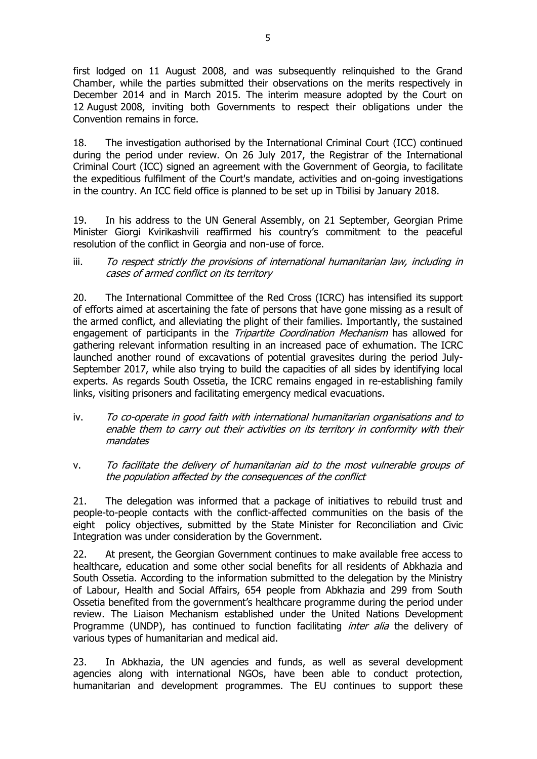first lodged on 11 August 2008, and was subsequently relinquished to the Grand Chamber, while the parties submitted their observations on the merits respectively in December 2014 and in March 2015. The interim measure adopted by the Court on 12 August 2008, inviting both Governments to respect their obligations under the Convention remains in force.

18. The investigation authorised by the International Criminal Court (ICC) continued during the period under review. On 26 July 2017, the Registrar of the International Criminal Court (ICC) signed an agreement with the Government of Georgia, to facilitate the expeditious fulfilment of the Court's mandate, activities and on-going investigations in the country. An ICC field office is planned to be set up in Tbilisi by January 2018.

19. In his address to the UN General Assembly, on 21 September, Georgian Prime Minister Giorgi Kvirikashvili reaffirmed his country's commitment to the peaceful resolution of the conflict in Georgia and non-use of force.

iii. To respect strictly the provisions of international humanitarian law, including in cases of armed conflict on its territory

20. The International Committee of the Red Cross (ICRC) has intensified its support of efforts aimed at ascertaining the fate of persons that have gone missing as a result of the armed conflict, and alleviating the plight of their families. Importantly, the sustained engagement of participants in the *Tripartite Coordination Mechanism* has allowed for gathering relevant information resulting in an increased pace of exhumation. The ICRC launched another round of excavations of potential gravesites during the period July-September 2017, while also trying to build the capacities of all sides by identifying local experts. As regards South Ossetia, the ICRC remains engaged in re-establishing family links, visiting prisoners and facilitating emergency medical evacuations.

- iv. To co-operate in good faith with international humanitarian organisations and to enable them to carry out their activities on its territory in conformity with their mandates
- v. To facilitate the delivery of humanitarian aid to the most vulnerable groups of the population affected by the consequences of the conflict

21. The delegation was informed that a package of initiatives to rebuild trust and people-to-people contacts with the conflict-affected communities on the basis of the eight policy objectives, submitted by the State Minister for Reconciliation and Civic Integration was under consideration by the Government.

22. At present, the Georgian Government continues to make available free access to healthcare, education and some other social benefits for all residents of Abkhazia and South Ossetia. According to the information submitted to the delegation by the Ministry of Labour, Health and Social Affairs, 654 people from Abkhazia and 299 from South Ossetia benefited from the government's healthcare programme during the period under review. The Liaison Mechanism established under the United Nations Development Programme (UNDP), has continued to function facilitating *inter alia* the delivery of various types of humanitarian and medical aid.

23. In Abkhazia, the UN agencies and funds, as well as several development agencies along with international NGOs, have been able to conduct protection, humanitarian and development programmes. The EU continues to support these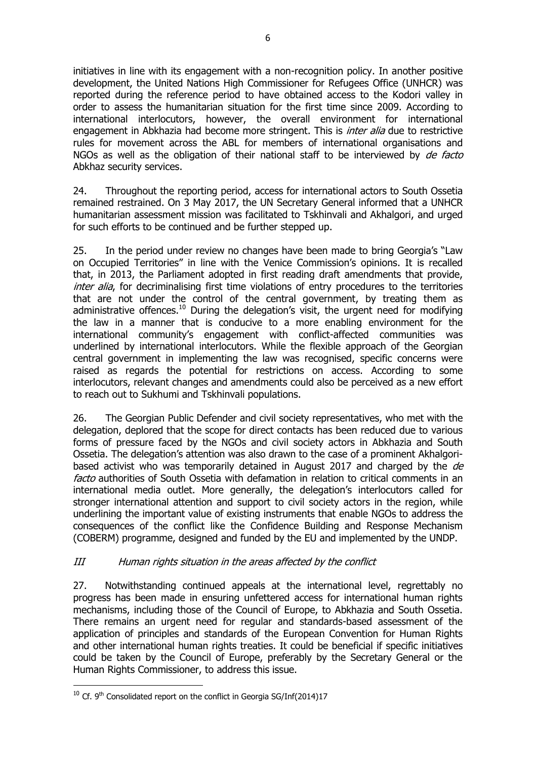initiatives in line with its engagement with a non-recognition policy. In another positive development, the United Nations High Commissioner for Refugees Office (UNHCR) was reported during the reference period to have obtained access to the Kodori valley in order to assess the humanitarian situation for the first time since 2009. According to international interlocutors, however, the overall environment for international engagement in Abkhazia had become more stringent. This is *inter alia* due to restrictive rules for movement across the ABL for members of international organisations and NGOs as well as the obligation of their national staff to be interviewed by de facto Abkhaz security services.

24. Throughout the reporting period, access for international actors to South Ossetia remained restrained. On 3 May 2017, the UN Secretary General informed that a UNHCR humanitarian assessment mission was facilitated to Tskhinvali and Akhalgori, and urged for such efforts to be continued and be further stepped up.

25. In the period under review no changes have been made to bring Georgia's "Law on Occupied Territories" in line with the Venice Commission's opinions. It is recalled that, in 2013, the Parliament adopted in first reading draft amendments that provide, inter alia, for decriminalising first time violations of entry procedures to the territories that are not under the control of the central government, by treating them as administrative offences.<sup>10</sup> During the delegation's visit, the urgent need for modifying the law in a manner that is conducive to a more enabling environment for the international community's engagement with conflict-affected communities was underlined by international interlocutors. While the flexible approach of the Georgian central government in implementing the law was recognised, specific concerns were raised as regards the potential for restrictions on access. According to some interlocutors, relevant changes and amendments could also be perceived as a new effort to reach out to Sukhumi and Tskhinvali populations.

26. The Georgian Public Defender and civil society representatives, who met with the delegation, deplored that the scope for direct contacts has been reduced due to various forms of pressure faced by the NGOs and civil society actors in Abkhazia and South Ossetia. The delegation's attention was also drawn to the case of a prominent Akhalgoribased activist who was temporarily detained in August 2017 and charged by the de facto authorities of South Ossetia with defamation in relation to critical comments in an international media outlet. More generally, the delegation's interlocutors called for stronger international attention and support to civil society actors in the region, while underlining the important value of existing instruments that enable NGOs to address the consequences of the conflict like the Confidence Building and Response Mechanism (COBERM) programme, designed and funded by the EU and implemented by the UNDP.

### III Human rights situation in the areas affected by the conflict

27. Notwithstanding continued appeals at the international level, regrettably no progress has been made in ensuring unfettered access for international human rights mechanisms, including those of the Council of Europe, to Abkhazia and South Ossetia. There remains an urgent need for regular and standards-based assessment of the application of principles and standards of the European Convention for Human Rights and other international human rights treaties. It could be beneficial if specific initiatives could be taken by the Council of Europe, preferably by the Secretary General or the Human Rights Commissioner, to address this issue.

j

 $10$  Cf. 9<sup>th</sup> Consolidated report on the conflict in Georgia SG/Inf(2014)17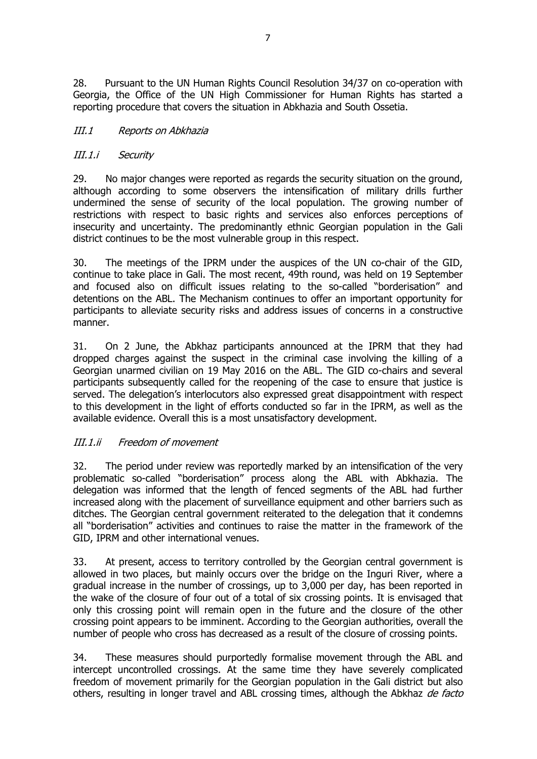28. Pursuant to the UN Human Rights Council Resolution 34/37 on co-operation with Georgia, the Office of the UN High Commissioner for Human Rights has started a reporting procedure that covers the situation in Abkhazia and South Ossetia.

### III.1 Reports on Abkhazia

# III.1.i Security

29. No major changes were reported as regards the security situation on the ground, although according to some observers the intensification of military drills further undermined the sense of security of the local population. The growing number of restrictions with respect to basic rights and services also enforces perceptions of insecurity and uncertainty. The predominantly ethnic Georgian population in the Gali district continues to be the most vulnerable group in this respect.

30. The meetings of the IPRM under the auspices of the UN co-chair of the GID, continue to take place in Gali. The most recent, 49th round, was held on 19 September and focused also on difficult issues relating to the so-called "borderisation" and detentions on the ABL. The Mechanism continues to offer an important opportunity for participants to alleviate security risks and address issues of concerns in a constructive manner.

31. On 2 June, the Abkhaz participants announced at the IPRM that they had dropped charges against the suspect in the criminal case involving the killing of a Georgian unarmed civilian on 19 May 2016 on the ABL. The GID co-chairs and several participants subsequently called for the reopening of the case to ensure that justice is served. The delegation's interlocutors also expressed great disappointment with respect to this development in the light of efforts conducted so far in the IPRM, as well as the available evidence. Overall this is a most unsatisfactory development.

### III.1.ii Freedom of movement

32. The period under review was reportedly marked by an intensification of the very problematic so-called "borderisation" process along the ABL with Abkhazia. The delegation was informed that the length of fenced segments of the ABL had further increased along with the placement of surveillance equipment and other barriers such as ditches. The Georgian central government reiterated to the delegation that it condemns all "borderisation" activities and continues to raise the matter in the framework of the GID, IPRM and other international venues.

33. At present, access to territory controlled by the Georgian central government is allowed in two places, but mainly occurs over the bridge on the Inguri River, where a gradual increase in the number of crossings, up to 3,000 per day, has been reported in the wake of the closure of four out of a total of six crossing points. It is envisaged that only this crossing point will remain open in the future and the closure of the other crossing point appears to be imminent. According to the Georgian authorities, overall the number of people who cross has decreased as a result of the closure of crossing points.

34. These measures should purportedly formalise movement through the ABL and intercept uncontrolled crossings. At the same time they have severely complicated freedom of movement primarily for the Georgian population in the Gali district but also others, resulting in longer travel and ABL crossing times, although the Abkhaz de facto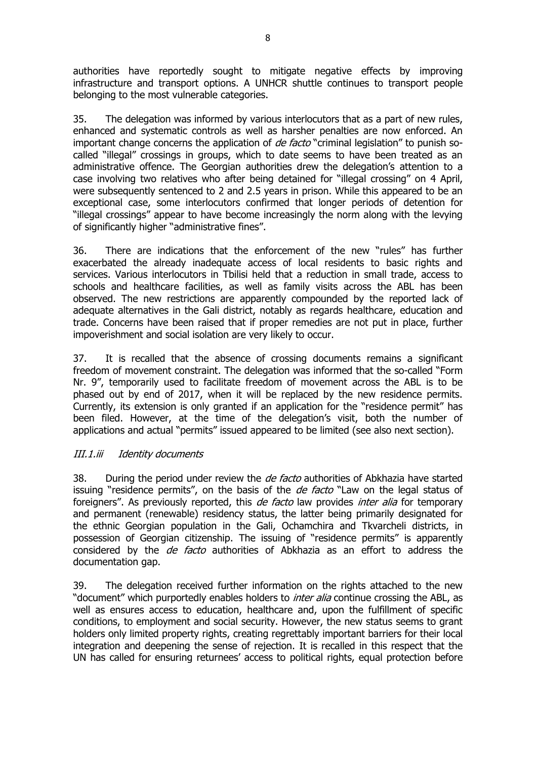authorities have reportedly sought to mitigate negative effects by improving infrastructure and transport options. A UNHCR shuttle continues to transport people belonging to the most vulnerable categories.

35. The delegation was informed by various interlocutors that as a part of new rules, enhanced and systematic controls as well as harsher penalties are now enforced. An important change concerns the application of *de facto* "criminal legislation" to punish socalled "illegal" crossings in groups, which to date seems to have been treated as an administrative offence. The Georgian authorities drew the delegation's attention to a case involving two relatives who after being detained for "illegal crossing" on 4 April, were subsequently sentenced to 2 and 2.5 years in prison. While this appeared to be an exceptional case, some interlocutors confirmed that longer periods of detention for "illegal crossings" appear to have become increasingly the norm along with the levying of significantly higher "administrative fines".

36. There are indications that the enforcement of the new "rules" has further exacerbated the already inadequate access of local residents to basic rights and services. Various interlocutors in Tbilisi held that a reduction in small trade, access to schools and healthcare facilities, as well as family visits across the ABL has been observed. The new restrictions are apparently compounded by the reported lack of adequate alternatives in the Gali district, notably as regards healthcare, education and trade. Concerns have been raised that if proper remedies are not put in place, further impoverishment and social isolation are very likely to occur.

37. It is recalled that the absence of crossing documents remains a significant freedom of movement constraint. The delegation was informed that the so-called "Form Nr. 9", temporarily used to facilitate freedom of movement across the ABL is to be phased out by end of 2017, when it will be replaced by the new residence permits. Currently, its extension is only granted if an application for the "residence permit" has been filed. However, at the time of the delegation's visit, both the number of applications and actual "permits" issued appeared to be limited (see also next section).

### III.1.iii Identity documents

38. During the period under review the *de facto* authorities of Abkhazia have started issuing "residence permits", on the basis of the *de facto* "Law on the legal status of foreigners". As previously reported, this *de facto* law provides *inter alia* for temporary and permanent (renewable) residency status, the latter being primarily designated for the ethnic Georgian population in the Gali, Ochamchira and Tkvarcheli districts, in possession of Georgian citizenship. The issuing of "residence permits" is apparently considered by the *de facto* authorities of Abkhazia as an effort to address the documentation gap.

39. The delegation received further information on the rights attached to the new "document" which purportedly enables holders to *inter alia* continue crossing the ABL, as well as ensures access to education, healthcare and, upon the fulfillment of specific conditions, to employment and social security. However, the new status seems to grant holders only limited property rights, creating regrettably important barriers for their local integration and deepening the sense of rejection. It is recalled in this respect that the UN has called for ensuring returnees' access to political rights, equal protection before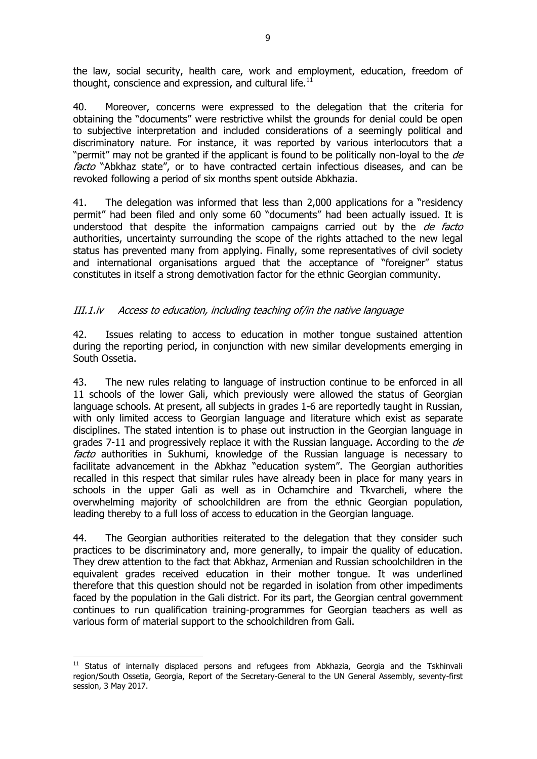the law, social security, health care, work and employment, education, freedom of thought, conscience and expression, and cultural life. $^{11}$ 

40. Moreover, concerns were expressed to the delegation that the criteria for obtaining the "documents" were restrictive whilst the grounds for denial could be open to subjective interpretation and included considerations of a seemingly political and discriminatory nature. For instance, it was reported by various interlocutors that a "permit" may not be granted if the applicant is found to be politically non-loyal to the de facto "Abkhaz state", or to have contracted certain infectious diseases, and can be revoked following a period of six months spent outside Abkhazia.

41. The delegation was informed that less than 2,000 applications for a "residency permit" had been filed and only some 60 "documents" had been actually issued. It is understood that despite the information campaigns carried out by the *de facto* authorities, uncertainty surrounding the scope of the rights attached to the new legal status has prevented many from applying. Finally, some representatives of civil society and international organisations argued that the acceptance of "foreigner" status constitutes in itself a strong demotivation factor for the ethnic Georgian community.

# III.1.iv Access to education, including teaching of/in the native language

42. Issues relating to access to education in mother tongue sustained attention during the reporting period, in conjunction with new similar developments emerging in South Ossetia.

43. The new rules relating to language of instruction continue to be enforced in all 11 schools of the lower Gali, which previously were allowed the status of Georgian language schools. At present, all subjects in grades 1-6 are reportedly taught in Russian, with only limited access to Georgian language and literature which exist as separate disciplines. The stated intention is to phase out instruction in the Georgian language in grades 7-11 and progressively replace it with the Russian language. According to the  $de$ facto authorities in Sukhumi, knowledge of the Russian language is necessary to facilitate advancement in the Abkhaz "education system". The Georgian authorities recalled in this respect that similar rules have already been in place for many years in schools in the upper Gali as well as in Ochamchire and Tkvarcheli, where the overwhelming majority of schoolchildren are from the ethnic Georgian population, leading thereby to a full loss of access to education in the Georgian language.

44. The Georgian authorities reiterated to the delegation that they consider such practices to be discriminatory and, more generally, to impair the quality of education. They drew attention to the fact that Abkhaz, Armenian and Russian schoolchildren in the equivalent grades received education in their mother tongue. It was underlined therefore that this question should not be regarded in isolation from other impediments faced by the population in the Gali district. For its part, the Georgian central government continues to run qualification training-programmes for Georgian teachers as well as various form of material support to the schoolchildren from Gali.

j  $11$  Status of internally displaced persons and refugees from Abkhazia, Georgia and the Tskhinvali region/South Ossetia, Georgia, Report of the Secretary-General to the UN General Assembly, seventy-first session, 3 May 2017.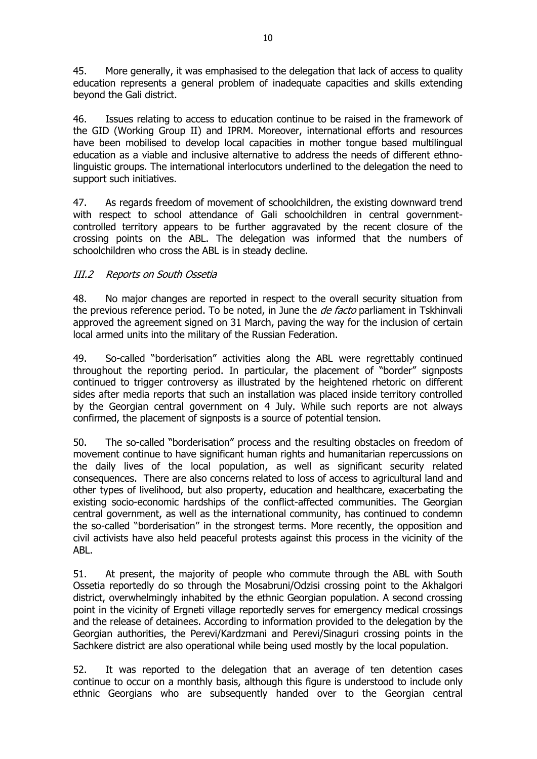45. More generally, it was emphasised to the delegation that lack of access to quality education represents a general problem of inadequate capacities and skills extending beyond the Gali district.

46. Issues relating to access to education continue to be raised in the framework of the GID (Working Group II) and IPRM. Moreover, international efforts and resources have been mobilised to develop local capacities in mother tongue based multilingual education as a viable and inclusive alternative to address the needs of different ethnolinguistic groups. The international interlocutors underlined to the delegation the need to support such initiatives.

47. As regards freedom of movement of schoolchildren, the existing downward trend with respect to school attendance of Gali schoolchildren in central governmentcontrolled territory appears to be further aggravated by the recent closure of the crossing points on the ABL. The delegation was informed that the numbers of schoolchildren who cross the ABL is in steady decline.

# III.2 Reports on South Ossetia

48. No major changes are reported in respect to the overall security situation from the previous reference period. To be noted, in June the *de facto* parliament in Tskhinvali approved the agreement signed on 31 March, paving the way for the inclusion of certain local armed units into the military of the Russian Federation.

49. So-called "borderisation" activities along the ABL were regrettably continued throughout the reporting period. In particular, the placement of "border" signposts continued to trigger controversy as illustrated by the heightened rhetoric on different sides after media reports that such an installation was placed inside territory controlled by the Georgian central government on 4 July. While such reports are not always confirmed, the placement of signposts is a source of potential tension.

50. The so-called "borderisation" process and the resulting obstacles on freedom of movement continue to have significant human rights and humanitarian repercussions on the daily lives of the local population, as well as significant security related consequences. There are also concerns related to loss of access to agricultural land and other types of livelihood, but also property, education and healthcare, exacerbating the existing socio-economic hardships of the conflict-affected communities. The Georgian central government, as well as the international community, has continued to condemn the so-called "borderisation" in the strongest terms. More recently, the opposition and civil activists have also held peaceful protests against this process in the vicinity of the ABL.

51. At present, the majority of people who commute through the ABL with South Ossetia reportedly do so through the Mosabruni/Odzisi crossing point to the Akhalgori district, overwhelmingly inhabited by the ethnic Georgian population. A second crossing point in the vicinity of Ergneti village reportedly serves for emergency medical crossings and the release of detainees. According to information provided to the delegation by the Georgian authorities, the Perevi/Kardzmani and Perevi/Sinaguri crossing points in the Sachkere district are also operational while being used mostly by the local population.

52. It was reported to the delegation that an average of ten detention cases continue to occur on a monthly basis, although this figure is understood to include only ethnic Georgians who are subsequently handed over to the Georgian central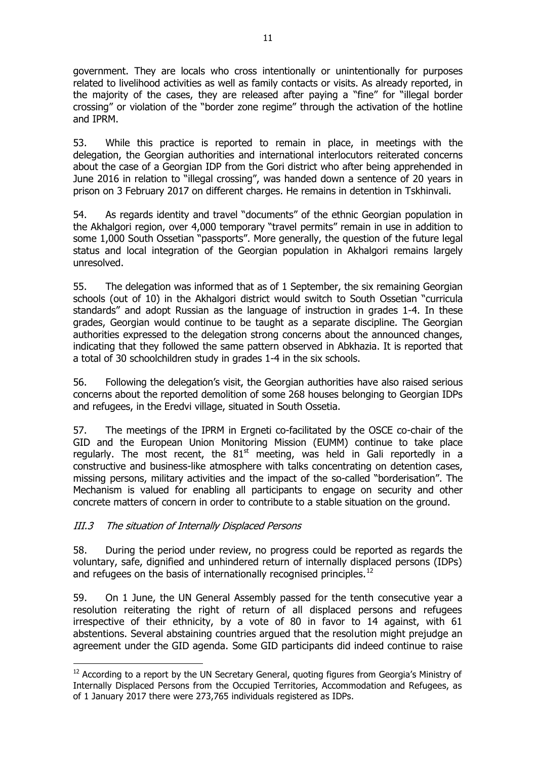government. They are locals who cross intentionally or unintentionally for purposes related to livelihood activities as well as family contacts or visits. As already reported, in the majority of the cases, they are released after paying a "fine" for "illegal border crossing" or violation of the "border zone regime" through the activation of the hotline and IPRM.

53. While this practice is reported to remain in place, in meetings with the delegation, the Georgian authorities and international interlocutors reiterated concerns about the case of a Georgian IDP from the Gori district who after being apprehended in June 2016 in relation to "illegal crossing", was handed down a sentence of 20 years in prison on 3 February 2017 on different charges. He remains in detention in Tskhinvali.

54. As regards identity and travel "documents" of the ethnic Georgian population in the Akhalgori region, over 4,000 temporary "travel permits" remain in use in addition to some 1,000 South Ossetian "passports". More generally, the question of the future legal status and local integration of the Georgian population in Akhalgori remains largely unresolved.

55. The delegation was informed that as of 1 September, the six remaining Georgian schools (out of 10) in the Akhalgori district would switch to South Ossetian "curricula standards" and adopt Russian as the language of instruction in grades 1-4. In these grades, Georgian would continue to be taught as a separate discipline. The Georgian authorities expressed to the delegation strong concerns about the announced changes, indicating that they followed the same pattern observed in Abkhazia. It is reported that a total of 30 schoolchildren study in grades 1-4 in the six schools.

56. Following the delegation's visit, the Georgian authorities have also raised serious concerns about the reported demolition of some 268 houses belonging to Georgian IDPs and refugees, in the Eredvi village, situated in South Ossetia.

57. The meetings of the IPRM in Ergneti co-facilitated by the OSCE co-chair of the GID and the European Union Monitoring Mission (EUMM) continue to take place regularly. The most recent, the  $81<sup>st</sup>$  meeting, was held in Gali reportedly in a constructive and business-like atmosphere with talks concentrating on detention cases, missing persons, military activities and the impact of the so-called "borderisation". The Mechanism is valued for enabling all participants to engage on security and other concrete matters of concern in order to contribute to a stable situation on the ground.

### III.3 The situation of Internally Displaced Persons

58. During the period under review, no progress could be reported as regards the voluntary, safe, dignified and unhindered return of internally displaced persons (IDPs) and refugees on the basis of internationally recognised principles.<sup>12</sup>

59. On 1 June, the UN General Assembly passed for the tenth consecutive year a resolution reiterating the right of return of all displaced persons and refugees irrespective of their ethnicity, by a vote of 80 in favor to 14 against, with 61 abstentions. Several abstaining countries argued that the resolution might prejudge an agreement under the GID agenda. Some GID participants did indeed continue to raise

<sup>-</sup><sup>12</sup> According to a report by the UN Secretary General, quoting figures from Georgia's Ministry of Internally Displaced Persons from the Occupied Territories, Accommodation and Refugees, as of 1 January 2017 there were 273,765 individuals registered as IDPs.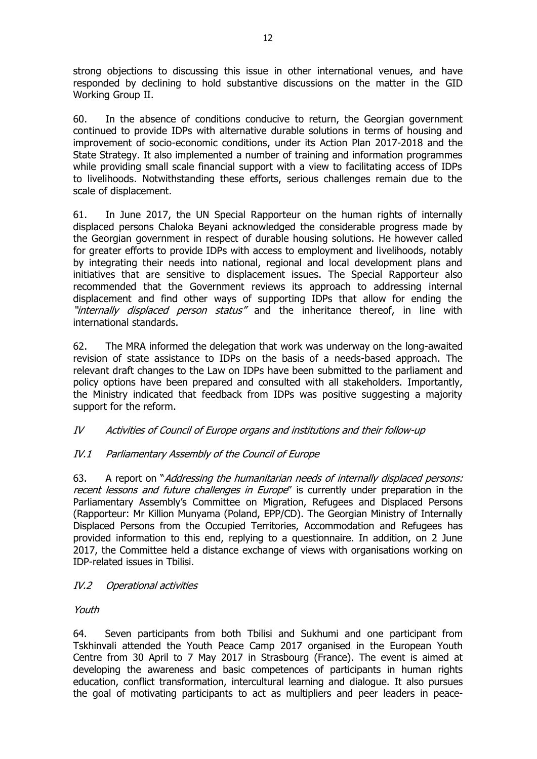strong objections to discussing this issue in other international venues, and have responded by declining to hold substantive discussions on the matter in the GID Working Group II.

60. In the absence of conditions conducive to return, the Georgian government continued to provide IDPs with alternative durable solutions in terms of housing and improvement of socio-economic conditions, under its Action Plan 2017-2018 and the State Strategy. It also implemented a number of training and information programmes while providing small scale financial support with a view to facilitating access of IDPs to livelihoods. Notwithstanding these efforts, serious challenges remain due to the scale of displacement.

61. In June 2017, the UN Special Rapporteur on the human rights of internally displaced persons Chaloka Beyani acknowledged the considerable progress made by the Georgian government in respect of durable housing solutions. He however called for greater efforts to provide IDPs with access to employment and livelihoods, notably by integrating their needs into national, regional and local development plans and initiatives that are sensitive to displacement issues. The Special Rapporteur also recommended that the Government reviews its approach to addressing internal displacement and find other ways of supporting IDPs that allow for ending the "internally displaced person status" and the inheritance thereof, in line with international standards.

62. The MRA informed the delegation that work was underway on the long-awaited revision of state assistance to IDPs on the basis of a needs-based approach. The relevant draft changes to the Law on IDPs have been submitted to the parliament and policy options have been prepared and consulted with all stakeholders. Importantly, the Ministry indicated that feedback from IDPs was positive suggesting a majority support for the reform.

# IV Activities of Council of Europe organs and institutions and their follow-up

# IV.1 Parliamentary Assembly of the Council of Europe

63. A report on "Addressing the humanitarian needs of internally displaced persons: recent lessons and future challenges in Europe" is currently under preparation in the Parliamentary Assembly's Committee on Migration, Refugees and Displaced Persons (Rapporteur: Mr Killion Munyama (Poland, EPP/CD). The Georgian Ministry of Internally Displaced Persons from the Occupied Territories, Accommodation and Refugees has provided information to this end, replying to a questionnaire. In addition, on 2 June 2017, the Committee held a distance exchange of views with organisations working on IDP-related issues in Tbilisi.

### IV.2 Operational activities

Youth

64. Seven participants from both Tbilisi and Sukhumi and one participant from Tskhinvali attended the Youth Peace Camp 2017 organised in the European Youth Centre from 30 April to 7 May 2017 in Strasbourg (France). The event is aimed at developing the awareness and basic competences of participants in human rights education, conflict transformation, intercultural learning and dialogue. It also pursues the goal of motivating participants to act as multipliers and peer leaders in peace-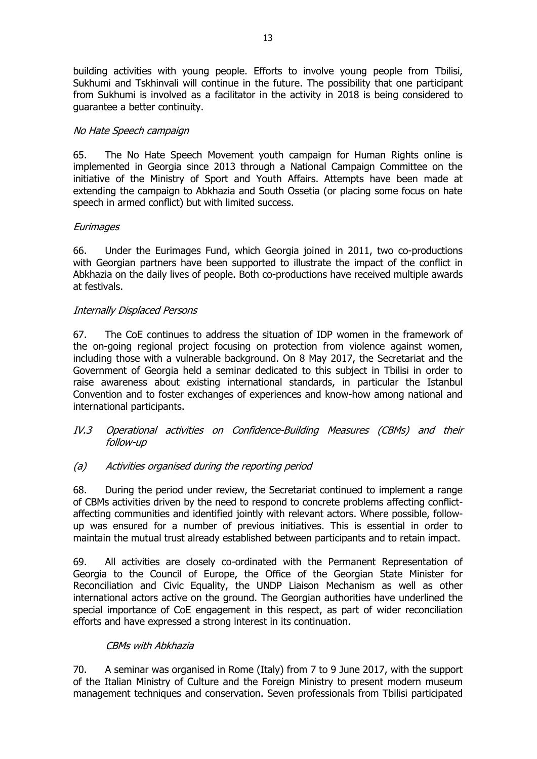building activities with young people. Efforts to involve young people from Tbilisi, Sukhumi and Tskhinvali will continue in the future. The possibility that one participant from Sukhumi is involved as a facilitator in the activity in 2018 is being considered to guarantee a better continuity.

#### No Hate Speech campaign

65. The No Hate Speech Movement youth campaign for Human Rights online is implemented in Georgia since 2013 through a National Campaign Committee on the initiative of the Ministry of Sport and Youth Affairs. Attempts have been made at extending the campaign to Abkhazia and South Ossetia (or placing some focus on hate speech in armed conflict) but with limited success.

#### **Eurimages**

66. Under the Eurimages Fund, which Georgia joined in 2011, two co-productions with Georgian partners have been supported to illustrate the impact of the conflict in Abkhazia on the daily lives of people. Both co-productions have received multiple awards at festivals.

#### Internally Displaced Persons

67. The CoE continues to address the situation of IDP women in the framework of the on-going regional project focusing on protection from violence against women, including those with a vulnerable background. On 8 May 2017, the Secretariat and the Government of Georgia held a seminar dedicated to this subject in Tbilisi in order to raise awareness about existing international standards, in particular the Istanbul Convention and to foster exchanges of experiences and know-how among national and international participants.

#### IV.3 Operational activities on Confidence-Building Measures (CBMs) and their follow-up

### (a) Activities organised during the reporting period

68. During the period under review, the Secretariat continued to implement a range of CBMs activities driven by the need to respond to concrete problems affecting conflictaffecting communities and identified jointly with relevant actors. Where possible, followup was ensured for a number of previous initiatives. This is essential in order to maintain the mutual trust already established between participants and to retain impact.

69. All activities are closely co-ordinated with the Permanent Representation of Georgia to the Council of Europe, the Office of the Georgian State Minister for Reconciliation and Civic Equality, the UNDP Liaison Mechanism as well as other international actors active on the ground. The Georgian authorities have underlined the special importance of CoE engagement in this respect, as part of wider reconciliation efforts and have expressed a strong interest in its continuation.

### CBMs with Abkhazia

70. A seminar was organised in Rome (Italy) from 7 to 9 June 2017, with the support of the Italian Ministry of Culture and the Foreign Ministry to present modern museum management techniques and conservation. Seven professionals from Tbilisi participated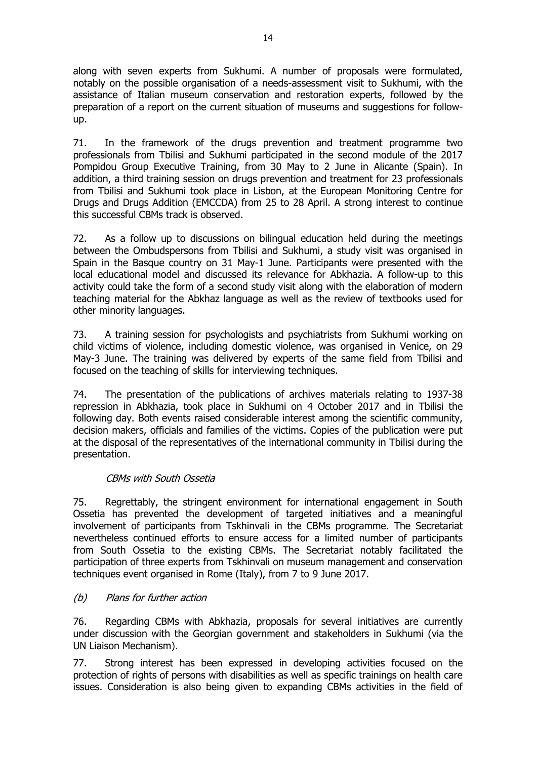along with seven experts from Sukhumi. A number of proposals were formulated, notably on the possible organisation of a needs-assessment visit to Sukhumi, with the assistance of Italian museum conservation and restoration experts, followed by the preparation of a report on the current situation of museums and suggestions for followup.

71. In the framework of the drugs prevention and treatment programme two professionals from Tbilisi and Sukhumi participated in the second module of the 2017 Pompidou Group Executive Training, from 30 May to 2 June in Alicante (Spain). In addition, a third training session on drugs prevention and treatment for 23 professionals from Tbilisi and Sukhumi took place in Lisbon, at the European Monitoring Centre for Drugs and Drugs Addition (EMCCDA) from 25 to 28 April. A strong interest to continue this successful CBMs track is observed.

72. As a follow up to discussions on bilingual education held during the meetings between the Ombudspersons from Tbilisi and Sukhumi, a study visit was organised in Spain in the Basque country on 31 May-1 June. Participants were presented with the local educational model and discussed its relevance for Abkhazia. A follow-up to this activity could take the form of a second study visit along with the elaboration of modern teaching material for the Abkhaz language as well as the review of textbooks used for other minority languages.

73. A training session for psychologists and psychiatrists from Sukhumi working on child victims of violence, including domestic violence, was organised in Venice, on 29 May-3 June. The training was delivered by experts of the same field from Tbilisi and focused on the teaching of skills for interviewing techniques.

74. The presentation of the publications of archives materials relating to 1937-38 repression in Abkhazia, took place in Sukhumi on 4 October 2017 and in Tbilisi the following day. Both events raised considerable interest among the scientific community, decision makers, officials and families of the victims. Copies of the publication were put at the disposal of the representatives of the international community in Tbilisi during the presentation.

### CBMs with South Ossetia

75. Regrettably, the stringent environment for international engagement in South Ossetia has prevented the development of targeted initiatives and a meaningful involvement of participants from Tskhinvali in the CBMs programme. The Secretariat nevertheless continued efforts to ensure access for a limited number of participants from South Ossetia to the existing CBMs. The Secretariat notably facilitated the participation of three experts from Tskhinvali on museum management and conservation techniques event organised in Rome (Italy), from 7 to 9 June 2017.

### (b) Plans for further action

76. Regarding CBMs with Abkhazia, proposals for several initiatives are currently under discussion with the Georgian government and stakeholders in Sukhumi (via the UN Liaison Mechanism).

77. Strong interest has been expressed in developing activities focused on the protection of rights of persons with disabilities as well as specific trainings on health care issues. Consideration is also being given to expanding CBMs activities in the field of